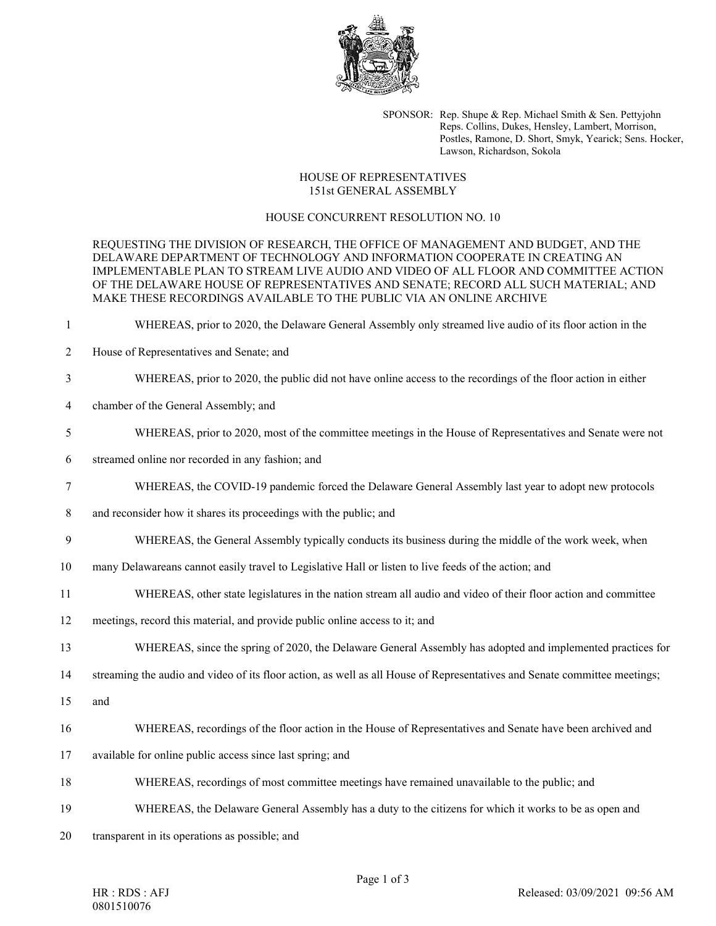

SPONSOR: Rep. Shupe & Rep. Michael Smith & Sen. Pettyjohn Reps. Collins, Dukes, Hensley, Lambert, Morrison, Postles, Ramone, D. Short, Smyk, Yearick; Sens. Hocker, Lawson, Richardson, Sokola

## HOUSE OF REPRESENTATIVES 151st GENERAL ASSEMBLY

## HOUSE CONCURRENT RESOLUTION NO. 10

REQUESTING THE DIVISION OF RESEARCH, THE OFFICE OF MANAGEMENT AND BUDGET, AND THE DELAWARE DEPARTMENT OF TECHNOLOGY AND INFORMATION COOPERATE IN CREATING AN IMPLEMENTABLE PLAN TO STREAM LIVE AUDIO AND VIDEO OF ALL FLOOR AND COMMITTEE ACTION OF THE DELAWARE HOUSE OF REPRESENTATIVES AND SENATE; RECORD ALL SUCH MATERIAL; AND MAKE THESE RECORDINGS AVAILABLE TO THE PUBLIC VIA AN ONLINE ARCHIVE

- 1 WHEREAS, prior to 2020, the Delaware General Assembly only streamed live audio of its floor action in the
- 2 House of Representatives and Senate; and
- 3 WHEREAS, prior to 2020, the public did not have online access to the recordings of the floor action in either
- 4 chamber of the General Assembly; and
- 5 WHEREAS, prior to 2020, most of the committee meetings in the House of Representatives and Senate were not
- 6 streamed online nor recorded in any fashion; and
- 7 WHEREAS, the COVID-19 pandemic forced the Delaware General Assembly last year to adopt new protocols
- 8 and reconsider how it shares its proceedings with the public; and
- 9 WHEREAS, the General Assembly typically conducts its business during the middle of the work week, when
- 10 many Delawareans cannot easily travel to Legislative Hall or listen to live feeds of the action; and
- 11 WHEREAS, other state legislatures in the nation stream all audio and video of their floor action and committee
- 12 meetings, record this material, and provide public online access to it; and
- 13 WHEREAS, since the spring of 2020, the Delaware General Assembly has adopted and implemented practices for

14 streaming the audio and video of its floor action, as well as all House of Representatives and Senate committee meetings;

- 15 and
- 16 WHEREAS, recordings of the floor action in the House of Representatives and Senate have been archived and
- 17 available for online public access since last spring; and
- 18 WHEREAS, recordings of most committee meetings have remained unavailable to the public; and
- 19 WHEREAS, the Delaware General Assembly has a duty to the citizens for which it works to be as open and
- 20 transparent in its operations as possible; and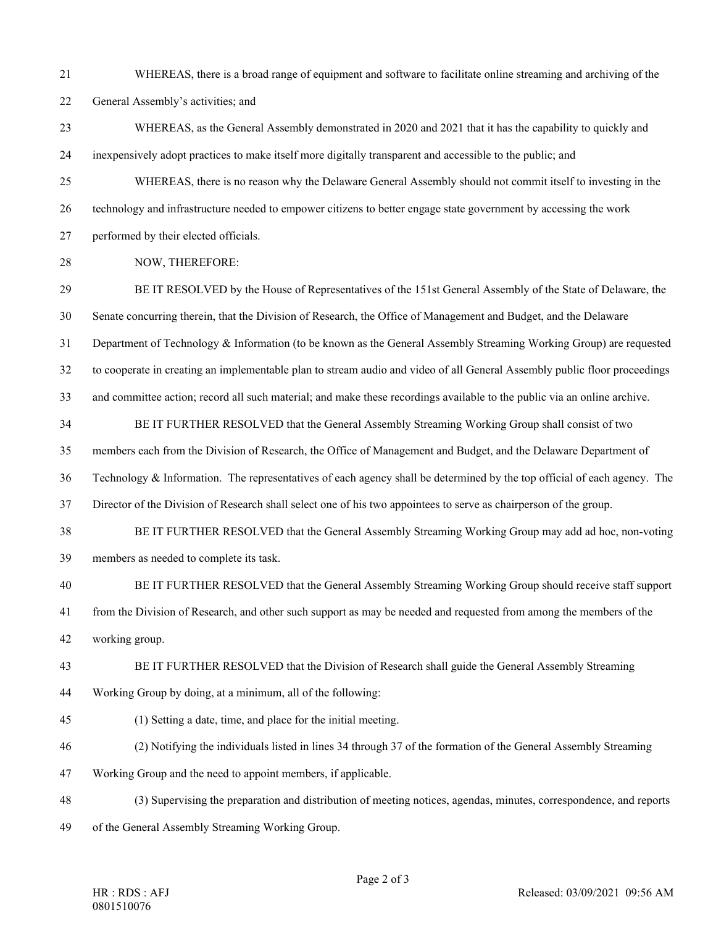21 WHEREAS, there is a broad range of equipment and software to facilitate online streaming and archiving of the 22 General Assembly's activities; and

23 WHEREAS, as the General Assembly demonstrated in 2020 and 2021 that it has the capability to quickly and 24 inexpensively adopt practices to make itself more digitally transparent and accessible to the public; and

25 WHEREAS, there is no reason why the Delaware General Assembly should not commit itself to investing in the 26 technology and infrastructure needed to empower citizens to better engage state government by accessing the work

27 performed by their elected officials.

28 NOW, THEREFORE:

29 BE IT RESOLVED by the House of Representatives of the 151st General Assembly of the State of Delaware, the 30 Senate concurring therein, that the Division of Research, the Office of Management and Budget, and the Delaware

31 Department of Technology & Information (to be known as the General Assembly Streaming Working Group) are requested

32 to cooperate in creating an implementable plan to stream audio and video of all General Assembly public floor proceedings

33 and committee action; record all such material; and make these recordings available to the public via an online archive.

34 BE IT FURTHER RESOLVED that the General Assembly Streaming Working Group shall consist of two

35 members each from the Division of Research, the Office of Management and Budget, and the Delaware Department of

36 Technology & Information. The representatives of each agency shall be determined by the top official of each agency. The

37 Director of the Division of Research shall select one of his two appointees to serve as chairperson of the group.

38 BE IT FURTHER RESOLVED that the General Assembly Streaming Working Group may add ad hoc, non-voting 39 members as needed to complete its task.

40 BE IT FURTHER RESOLVED that the General Assembly Streaming Working Group should receive staff support

41 from the Division of Research, and other such support as may be needed and requested from among the members of the

42 working group.

43 BE IT FURTHER RESOLVED that the Division of Research shall guide the General Assembly Streaming

44 Working Group by doing, at a minimum, all of the following:

45 (1) Setting a date, time, and place for the initial meeting.

46 (2) Notifying the individuals listed in lines 34 through 37 of the formation of the General Assembly Streaming

47 Working Group and the need to appoint members, if applicable.

48 (3) Supervising the preparation and distribution of meeting notices, agendas, minutes, correspondence, and reports 49 of the General Assembly Streaming Working Group.